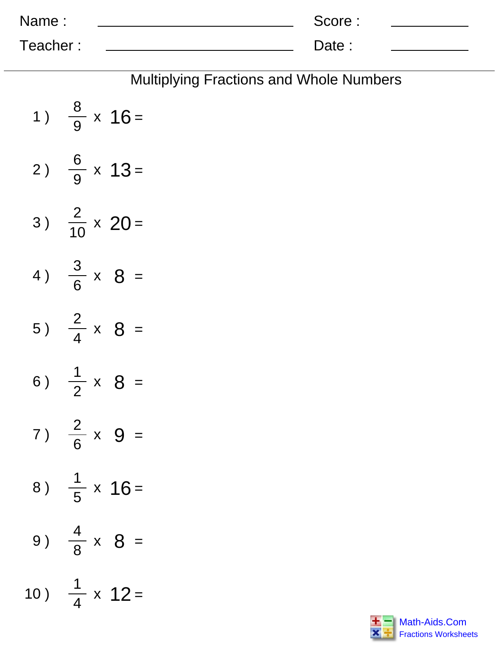| Name:    | Score: |  |
|----------|--------|--|
| Teacher: | Date:  |  |

|                               |  |  |  |  | <b>Multiplying Fractions and Whole Numbers</b> |  |  |
|-------------------------------|--|--|--|--|------------------------------------------------|--|--|
| 1) $\frac{8}{9} \times 16 =$  |  |  |  |  |                                                |  |  |
| 2) $\frac{6}{9} \times 13 =$  |  |  |  |  |                                                |  |  |
| 3) $\frac{2}{10} \times 20 =$ |  |  |  |  |                                                |  |  |
| 4) $\frac{3}{6} \times 8 =$   |  |  |  |  |                                                |  |  |
| 5) $\frac{2}{4} \times 8 =$   |  |  |  |  |                                                |  |  |
| 6) $\frac{1}{2} \times 8 =$   |  |  |  |  |                                                |  |  |
| 7) $\frac{2}{6} \times 9 =$   |  |  |  |  |                                                |  |  |
| 8) $\frac{1}{5} \times 16 =$  |  |  |  |  |                                                |  |  |
| 9) $\frac{4}{8} \times 8 =$   |  |  |  |  |                                                |  |  |
|                               |  |  |  |  |                                                |  |  |

)

 $\frac{1}{4}$  x 12 =